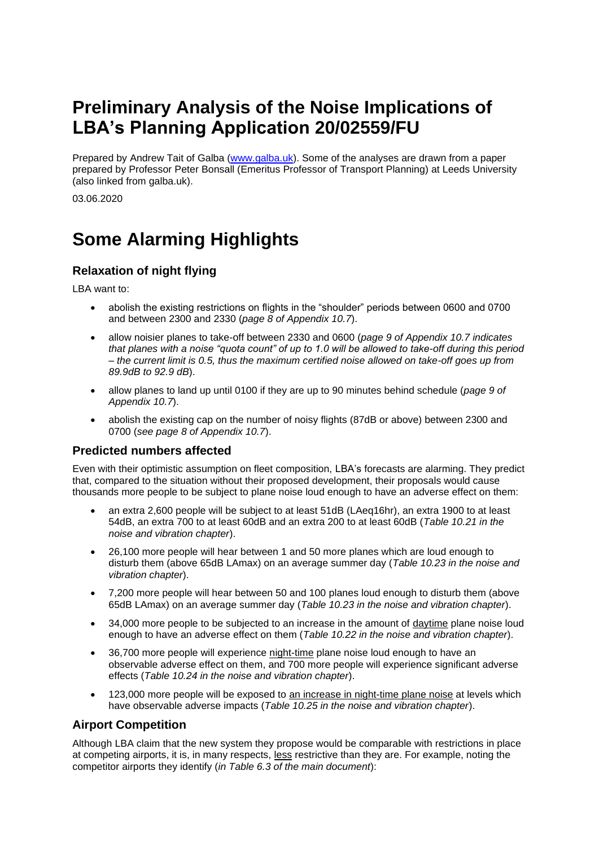# **Preliminary Analysis of the Noise Implications of LBA's Planning Application 20/02559/FU**

Prepared by Andrew Tait of Galba [\(www.galba.uk\)](http://www.galba.uk/). Some of the analyses are drawn from a paper prepared by Professor Peter Bonsall (Emeritus Professor of Transport Planning) at Leeds University (also linked from galba.uk).

03.06.2020

# **Some Alarming Highlights**

### **Relaxation of night flying**

LBA want to:

- abolish the existing restrictions on flights in the "shoulder" periods between 0600 and 0700 and between 2300 and 2330 (*page 8 of Appendix 10.7*).
- allow noisier planes to take-off between 2330 and 0600 (*page 9 of Appendix 10.7 indicates that planes with a noise "quota count" of up to 1.0 will be allowed to take-off during this period – the current limit is 0.5, thus the maximum certified noise allowed on take-off goes up from 89.9dB to 92.9 dB*).
- allow planes to land up until 0100 if they are up to 90 minutes behind schedule (*page 9 of Appendix 10.7*).
- abolish the existing cap on the number of noisy flights (87dB or above) between 2300 and 0700 (*see page 8 of Appendix 10.7*).

### **Predicted numbers affected**

Even with their optimistic assumption on fleet composition, LBA's forecasts are alarming. They predict that, compared to the situation without their proposed development, their proposals would cause thousands more people to be subject to plane noise loud enough to have an adverse effect on them:

- an extra 2,600 people will be subject to at least 51dB (LAeq16hr), an extra 1900 to at least 54dB, an extra 700 to at least 60dB and an extra 200 to at least 60dB (*Table 10.21 in the noise and vibration chapter*).
- 26,100 more people will hear between 1 and 50 more planes which are loud enough to disturb them (above 65dB LAmax) on an average summer day (*Table 10.23 in the noise and vibration chapter*).
- 7,200 more people will hear between 50 and 100 planes loud enough to disturb them (above 65dB LAmax) on an average summer day (*Table 10.23 in the noise and vibration chapter*).
- 34,000 more people to be subjected to an increase in the amount of daytime plane noise loud enough to have an adverse effect on them (*Table 10.22 in the noise and vibration chapter*).
- 36,700 more people will experience night-time plane noise loud enough to have an observable adverse effect on them, and 700 more people will experience significant adverse effects (*Table 10.24 in the noise and vibration chapter*).
- 123,000 more people will be exposed to an increase in night-time plane noise at levels which have observable adverse impacts (*Table 10.25 in the noise and vibration chapter*).

### **Airport Competition**

Although LBA claim that the new system they propose would be comparable with restrictions in place at competing airports, it is, in many respects, less restrictive than they are. For example, noting the competitor airports they identify (*in Table 6.3 of the main document*):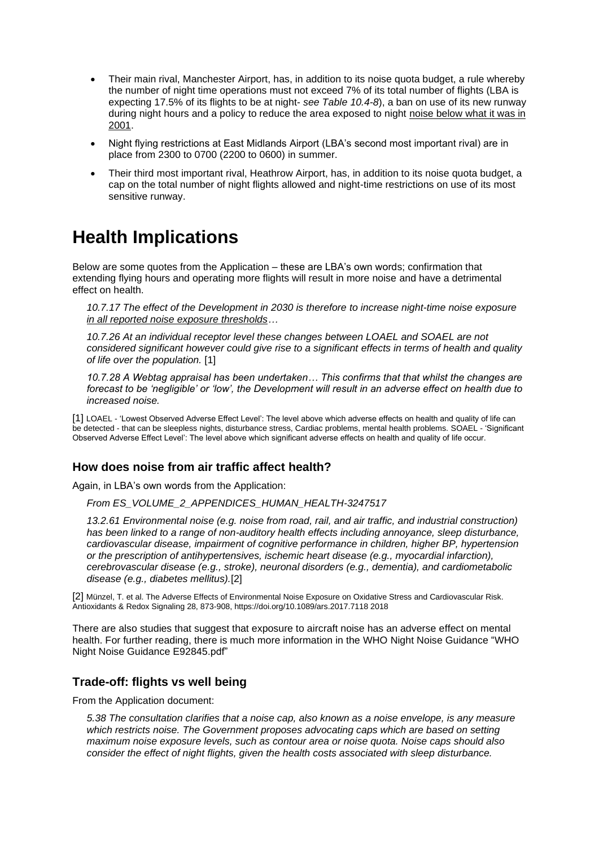- Their main rival, Manchester Airport, has, in addition to its noise quota budget, a rule whereby the number of night time operations must not exceed 7% of its total number of flights (LBA is expecting 17.5% of its flights to be at night- *see Table 10.4-8*), a ban on use of its new runway during night hours and a policy to reduce the area exposed to night noise below what it was in 2001.
- Night flying restrictions at East Midlands Airport (LBA's second most important rival) are in place from 2300 to 0700 (2200 to 0600) in summer.
- Their third most important rival, Heathrow Airport, has, in addition to its noise quota budget, a cap on the total number of night flights allowed and night-time restrictions on use of its most sensitive runway.

## **Health Implications**

Below are some quotes from the Application – these are LBA's own words; confirmation that extending flying hours and operating more flights will result in more noise and have a detrimental effect on health.

*10.7.17 The effect of the Development in 2030 is therefore to increase night-time noise exposure in all reported noise exposure thresholds…*

*10.7.26 At an individual receptor level these changes between LOAEL and SOAEL are not considered significant however could give rise to a significant effects in terms of health and quality of life over the population.* [1]

*10.7.28 A Webtag appraisal has been undertaken… This confirms that that whilst the changes are forecast to be 'negligible' or 'low', the Development will result in an adverse effect on health due to increased noise.*

[1] LOAEL - 'Lowest Observed Adverse Effect Level': The level above which adverse effects on health and quality of life can be detected - that can be sleepless nights, disturbance stress, Cardiac problems, mental health problems. SOAEL - 'Significant Observed Adverse Effect Level': The level above which significant adverse effects on health and quality of life occur.

### **How does noise from air traffic affect health?**

Again, in LBA's own words from the Application:

*From ES\_VOLUME\_2\_APPENDICES\_HUMAN\_HEALTH-3247517*

*13.2.61 Environmental noise (e.g. noise from road, rail, and air traffic, and industrial construction) has been linked to a range of non-auditory health effects including annoyance, sleep disturbance, cardiovascular disease, impairment of cognitive performance in children, higher BP, hypertension or the prescription of antihypertensives, ischemic heart disease (e.g., myocardial infarction), cerebrovascular disease (e.g., stroke), neuronal disorders (e.g., dementia), and cardiometabolic disease (e.g., diabetes mellitus).*[2]

[2] Münzel, T. et al. The Adverse Effects of Environmental Noise Exposure on Oxidative Stress and Cardiovascular Risk. Antioxidants & Redox Signaling 28, 873-908, https://doi.org/10.1089/ars.2017.7118 2018

There are also studies that suggest that exposure to aircraft noise has an adverse effect on mental health. For further reading, there is much more information in the WHO Night Noise Guidance "WHO Night Noise Guidance E92845.pdf"

#### **Trade-off: flights vs well being**

From the Application document:

*5.38 The consultation clarifies that a noise cap, also known as a noise envelope, is any measure which restricts noise. The Government proposes advocating caps which are based on setting maximum noise exposure levels, such as contour area or noise quota. Noise caps should also consider the effect of night flights, given the health costs associated with sleep disturbance.*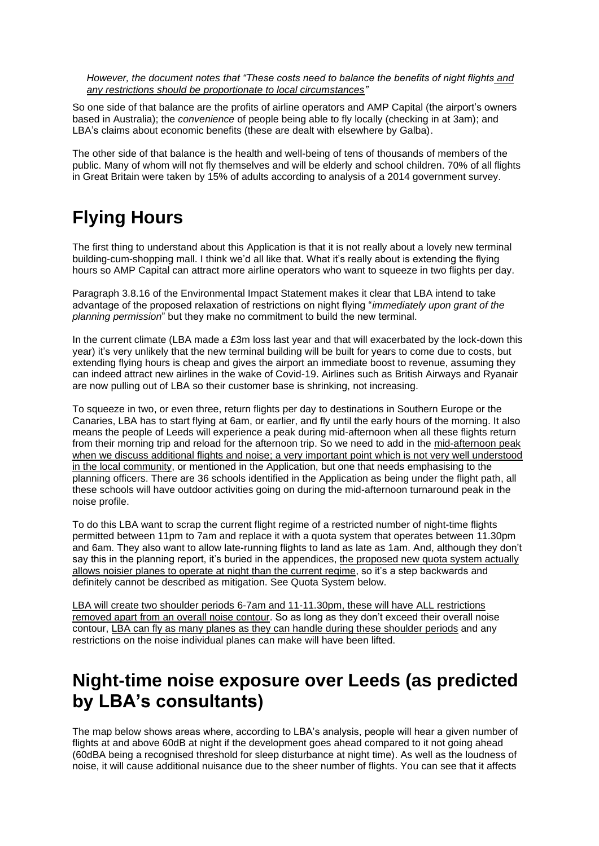*However, the document notes that "These costs need to balance the benefits of night flights and any restrictions should be proportionate to local circumstances"*

So one side of that balance are the profits of airline operators and AMP Capital (the airport's owners based in Australia); the *convenience* of people being able to fly locally (checking in at 3am); and LBA's claims about economic benefits (these are dealt with elsewhere by Galba).

The other side of that balance is the health and well-being of tens of thousands of members of the public. Many of whom will not fly themselves and will be elderly and school children. 70% of all flights in Great Britain were taken by 15% of adults according to analysis of a 2014 government survey.

# **Flying Hours**

The first thing to understand about this Application is that it is not really about a lovely new terminal building-cum-shopping mall. I think we'd all like that. What it's really about is extending the flying hours so AMP Capital can attract more airline operators who want to squeeze in two flights per day.

Paragraph 3.8.16 of the Environmental Impact Statement makes it clear that LBA intend to take advantage of the proposed relaxation of restrictions on night flying "*immediately upon grant of the planning permission*" but they make no commitment to build the new terminal.

In the current climate (LBA made a £3m loss last year and that will exacerbated by the lock-down this year) it's very unlikely that the new terminal building will be built for years to come due to costs, but extending flying hours is cheap and gives the airport an immediate boost to revenue, assuming they can indeed attract new airlines in the wake of Covid-19. Airlines such as British Airways and Ryanair are now pulling out of LBA so their customer base is shrinking, not increasing.

To squeeze in two, or even three, return flights per day to destinations in Southern Europe or the Canaries, LBA has to start flying at 6am, or earlier, and fly until the early hours of the morning. It also means the people of Leeds will experience a peak during mid-afternoon when all these flights return from their morning trip and reload for the afternoon trip. So we need to add in the mid-afternoon peak when we discuss additional flights and noise; a very important point which is not very well understood in the local community, or mentioned in the Application, but one that needs emphasising to the planning officers. There are 36 schools identified in the Application as being under the flight path, all these schools will have outdoor activities going on during the mid-afternoon turnaround peak in the noise profile.

To do this LBA want to scrap the current flight regime of a restricted number of night-time flights permitted between 11pm to 7am and replace it with a quota system that operates between 11.30pm and 6am. They also want to allow late-running flights to land as late as 1am. And, although they don't say this in the planning report, it's buried in the appendices, the proposed new quota system actually allows noisier planes to operate at night than the current regime, so it's a step backwards and definitely cannot be described as mitigation. See Quota System below.

LBA will create two shoulder periods 6-7am and 11-11.30pm, these will have ALL restrictions removed apart from an overall noise contour. So as long as they don't exceed their overall noise contour, LBA can fly as many planes as they can handle during these shoulder periods and any restrictions on the noise individual planes can make will have been lifted.

## **Night-time noise exposure over Leeds (as predicted by LBA's consultants)**

The map below shows areas where, according to LBA's analysis, people will hear a given number of flights at and above 60dB at night if the development goes ahead compared to it not going ahead (60dBA being a recognised threshold for sleep disturbance at night time). As well as the loudness of noise, it will cause additional nuisance due to the sheer number of flights. You can see that it affects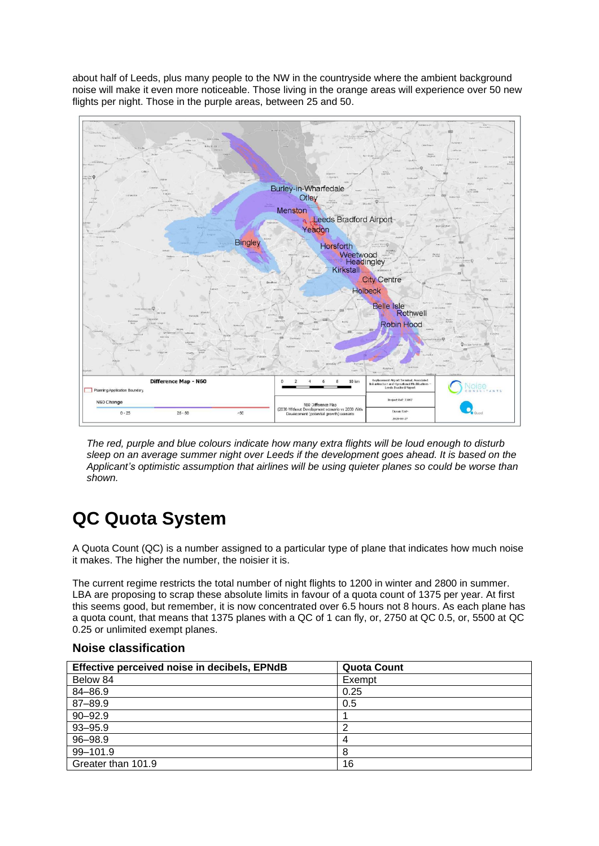about half of Leeds, plus many people to the NW in the countryside where the ambient background noise will make it even more noticeable. Those living in the orange areas will experience over 50 new flights per night. Those in the purple areas, between 25 and 50.



*The red, purple and blue colours indicate how many extra flights will be loud enough to disturb sleep on an average summer night over Leeds if the development goes ahead. It is based on the Applicant's optimistic assumption that airlines will be using quieter planes so could be worse than shown.*

# **QC Quota System**

A Quota Count (QC) is a number assigned to a particular type of plane that indicates how much noise it makes. The higher the number, the noisier it is.

The current regime restricts the total number of night flights to 1200 in winter and 2800 in summer. LBA are proposing to scrap these absolute limits in favour of a quota count of 1375 per year. At first this seems good, but remember, it is now concentrated over 6.5 hours not 8 hours. As each plane has a quota count, that means that 1375 planes with a QC of 1 can fly, or, 2750 at QC 0.5, or, 5500 at QC 0.25 or unlimited exempt planes.

| Effective perceived noise in decibels, EPNdB | <b>Quota Count</b> |
|----------------------------------------------|--------------------|
| Below 84                                     | Exempt             |
| 84-86.9                                      | 0.25               |
| 87-89.9                                      | 0.5                |
| $90 - 92.9$                                  |                    |
| $93 - 95.9$                                  | Ω                  |
| 96-98.9                                      | 4                  |
| 99-101.9                                     | 8                  |
| Greater than 101.9                           | 16                 |

#### **Noise classification**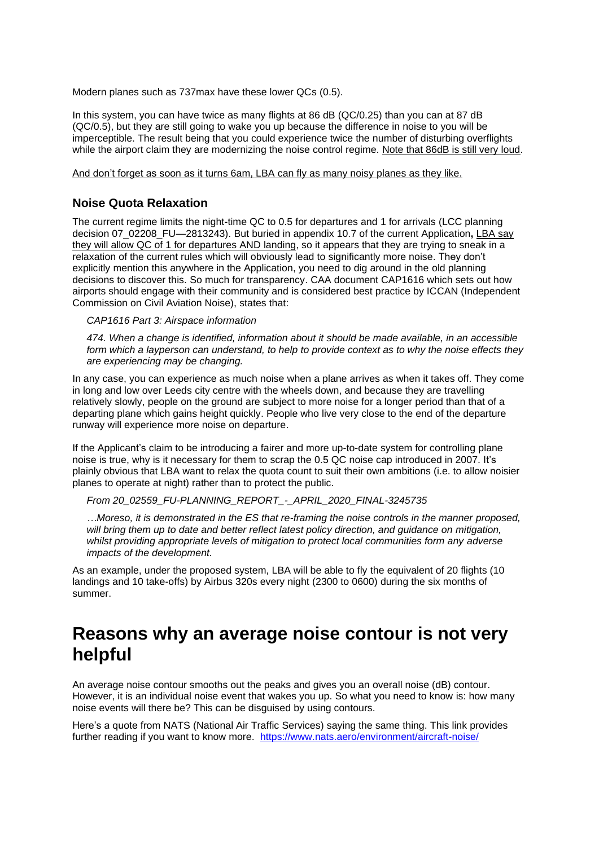Modern planes such as 737max have these lower QCs (0.5).

In this system, you can have twice as many flights at 86 dB (QC/0.25) than you can at 87 dB (QC/0.5), but they are still going to wake you up because the difference in noise to you will be imperceptible. The result being that you could experience twice the number of disturbing overflights while the airport claim they are modernizing the noise control regime. Note that 86dB is still very loud.

And don't forget as soon as it turns 6am, LBA can fly as many noisy planes as they like.

#### **Noise Quota Relaxation**

The current regime limits the night-time QC to 0.5 for departures and 1 for arrivals (LCC planning decision 07\_02208\_FU—2813243). But buried in appendix 10.7 of the current Application**,** LBA say they will allow QC of 1 for departures AND landing, so it appears that they are trying to sneak in a relaxation of the current rules which will obviously lead to significantly more noise. They don't explicitly mention this anywhere in the Application, you need to dig around in the old planning decisions to discover this. So much for transparency. CAA document CAP1616 which sets out how airports should engage with their community and is considered best practice by ICCAN (Independent Commission on Civil Aviation Noise), states that:

*CAP1616 Part 3: Airspace information*

*474. When a change is identified, information about it should be made available, in an accessible form which a layperson can understand, to help to provide context as to why the noise effects they are experiencing may be changing.*

In any case, you can experience as much noise when a plane arrives as when it takes off. They come in long and low over Leeds city centre with the wheels down, and because they are travelling relatively slowly, people on the ground are subject to more noise for a longer period than that of a departing plane which gains height quickly. People who live very close to the end of the departure runway will experience more noise on departure.

If the Applicant's claim to be introducing a fairer and more up-to-date system for controlling plane noise is true, why is it necessary for them to scrap the 0.5 QC noise cap introduced in 2007. It's plainly obvious that LBA want to relax the quota count to suit their own ambitions (i.e. to allow noisier planes to operate at night) rather than to protect the public.

*From 20\_02559\_FU-PLANNING\_REPORT\_-\_APRIL\_2020\_FINAL-3245735*

*…Moreso, it is demonstrated in the ES that re-framing the noise controls in the manner proposed, will bring them up to date and better reflect latest policy direction, and guidance on mitigation, whilst providing appropriate levels of mitigation to protect local communities form any adverse impacts of the development.*

As an example, under the proposed system, LBA will be able to fly the equivalent of 20 flights (10 landings and 10 take-offs) by Airbus 320s every night (2300 to 0600) during the six months of summer.

### **Reasons why an average noise contour is not very helpful**

An average noise contour smooths out the peaks and gives you an overall noise (dB) contour. However, it is an individual noise event that wakes you up. So what you need to know is: how many noise events will there be? This can be disguised by using contours.

Here's a quote from NATS (National Air Traffic Services) saying the same thing. This link provides further reading if you want to know more. <https://www.nats.aero/environment/aircraft-noise/>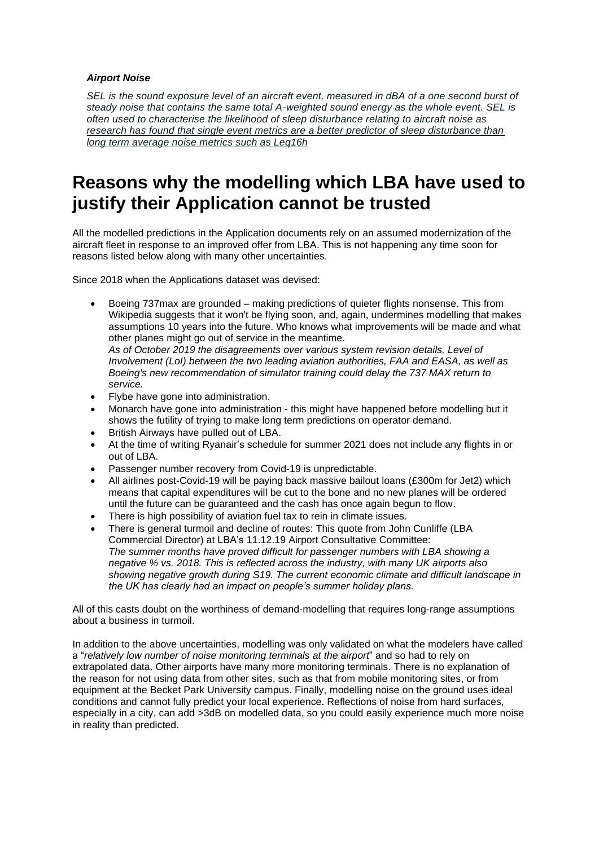#### *Airport Noise*

*SEL is the sound exposure level of an aircraft event, measured in dBA of a one second burst of steady noise that contains the same total A-weighted sound energy as the whole event. SEL is often used to characterise the likelihood of sleep disturbance relating to aircraft noise as research has found that single event metrics are a better predictor of sleep disturbance than long term average noise metrics such as Leq16h*

## **Reasons why the modelling which LBA have used to justify their Application cannot be trusted**

All the modelled predictions in the Application documents rely on an assumed modernization of the aircraft fleet in response to an improved offer from LBA. This is not happening any time soon for reasons listed below along with many other uncertainties.

Since 2018 when the Applications dataset was devised:

• Boeing 737max are grounded – making predictions of quieter flights nonsense. This from Wikipedia suggests that it won't be flying soon, and, again, undermines modelling that makes assumptions 10 years into the future. Who knows what improvements will be made and what other planes might go out of service in the meantime.

*As of October 2019 the disagreements over various system revision details, Level of Involvement (LoI) between the two leading aviation authorities, FAA and EASA, as well as Boeing's new recommendation of simulator training could delay the 737 MAX return to service.*

- Flybe have gone into administration.
- Monarch have gone into administration this might have happened before modelling but it shows the futility of trying to make long term predictions on operator demand.
- British Airways have pulled out of LBA.
- At the time of writing Ryanair's schedule for summer 2021 does not include any flights in or out of LBA.
- Passenger number recovery from Covid-19 is unpredictable.
- All airlines post-Covid-19 will be paying back massive bailout loans (£300m for Jet2) which means that capital expenditures will be cut to the bone and no new planes will be ordered until the future can be guaranteed and the cash has once again begun to flow.
- There is high possibility of aviation fuel tax to rein in climate issues.
- There is general turmoil and decline of routes: This quote from John Cunliffe (LBA Commercial Director) at LBA's 11.12.19 Airport Consultative Committee: *The summer months have proved difficult for passenger numbers with LBA showing a negative % vs. 2018. This is reflected across the industry, with many UK airports also showing negative growth during S19. The current economic climate and difficult landscape in the UK has clearly had an impact on people's summer holiday plans.*

All of this casts doubt on the worthiness of demand-modelling that requires long-range assumptions about a business in turmoil.

In addition to the above uncertainties, modelling was only validated on what the modelers have called a "*relatively low number of noise monitoring terminals at the airport*" and so had to rely on extrapolated data. Other airports have many more monitoring terminals. There is no explanation of the reason for not using data from other sites, such as that from mobile monitoring sites, or from equipment at the Becket Park University campus. Finally, modelling noise on the ground uses ideal conditions and cannot fully predict your local experience. Reflections of noise from hard surfaces, especially in a city, can add >3dB on modelled data, so you could easily experience much more noise in reality than predicted.